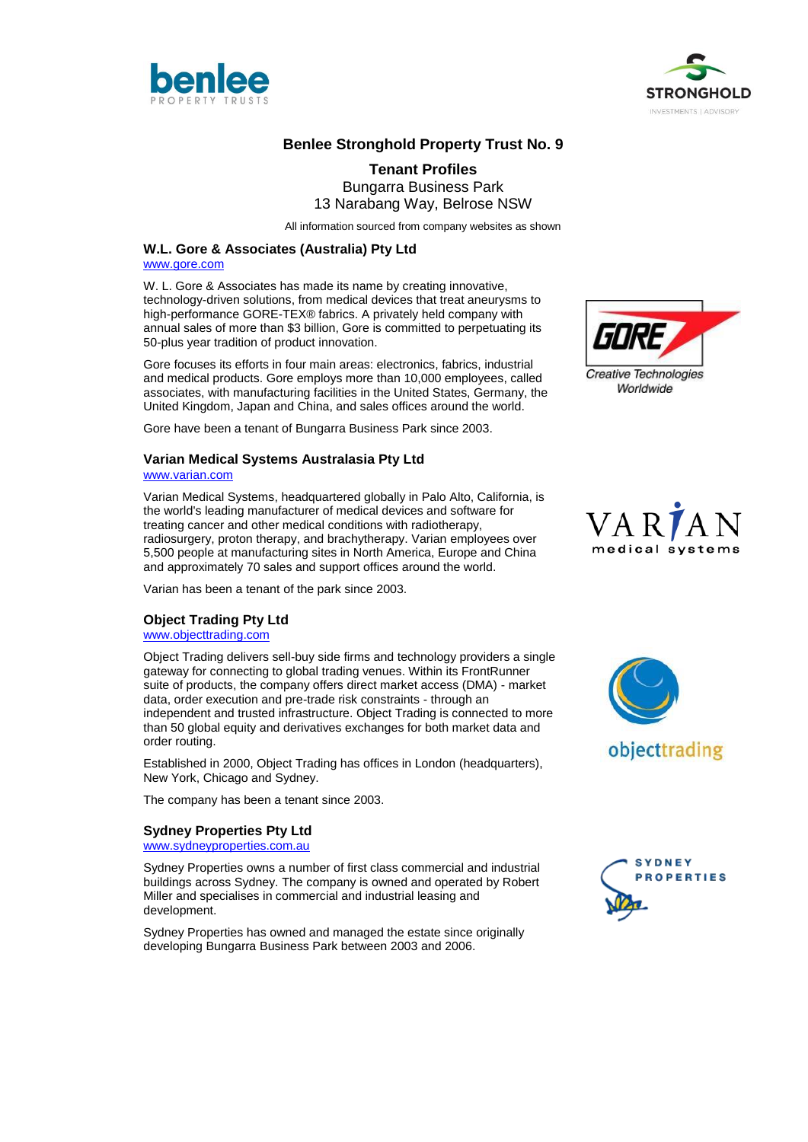



# **Benlee Stronghold Property Trust No. 9**

# **Tenant Profiles** Bungarra Business Park 13 Narabang Way, Belrose NSW

All information sourced from company websites as shown

#### **W.L. Gore & Associates (Australia) Pty Ltd**

[www.gore.com](http://www.gore.com/)

W. L. Gore & Associates has made its name by creating innovative, technology-driven solutions, from medical devices that treat aneurysms to high-performance GORE-TEX® fabrics. A privately held company with annual sales of more than \$3 billion, Gore is committed to perpetuating its 50-plus year tradition of product innovation.

Gore focuses its efforts in four main areas: electronics, fabrics, industrial and medical products. Gore employs more than 10,000 employees, called associates, with manufacturing facilities in the United States, Germany, the United Kingdom, Japan and China, and sales offices around the world.

Gore have been a tenant of Bungarra Business Park since 2003.

# **Varian Medical Systems Australasia Pty Ltd**

[www.varian.com](http://www.varian.com/)

Varian Medical Systems, headquartered globally in Palo Alto, California, is the world's leading manufacturer of medical devices and software for treating cancer and other medical conditions with radiotherapy, radiosurgery, proton therapy, and brachytherapy. Varian employees over 5,500 people at manufacturing sites in North America, Europe and China and approximately 70 sales and support offices around the world.

Varian has been a tenant of the park since 2003.

#### **Object Trading Pty Ltd**

[www.objecttrading.com](http://www.objecttrading.com/)

Object Trading delivers sell-buy side firms and technology providers a single gateway for connecting to global trading venues. Within its FrontRunner suite of products, the company offers direct market access (DMA) - market data, order execution and pre-trade risk constraints - through an independent and trusted infrastructure. Object Trading is connected to more than 50 global equity and derivatives exchanges for both market data and order routing.

Established in 2000, Object Trading has offices in London (headquarters), New York, Chicago and Sydney.

The company has been a tenant since 2003.

#### **Sydney Properties Pty Ltd**

[www.sydneyproperties.com.au](http://www.sydneyproperties.com.au/)

Sydney Properties owns a number of first class commercial and industrial buildings across Sydney. The company is owned and operated by Robert Miller and specialises in commercial and industrial leasing and development.

Sydney Properties has owned and managed the estate since originally developing Bungarra Business Park between 2003 and 2006.







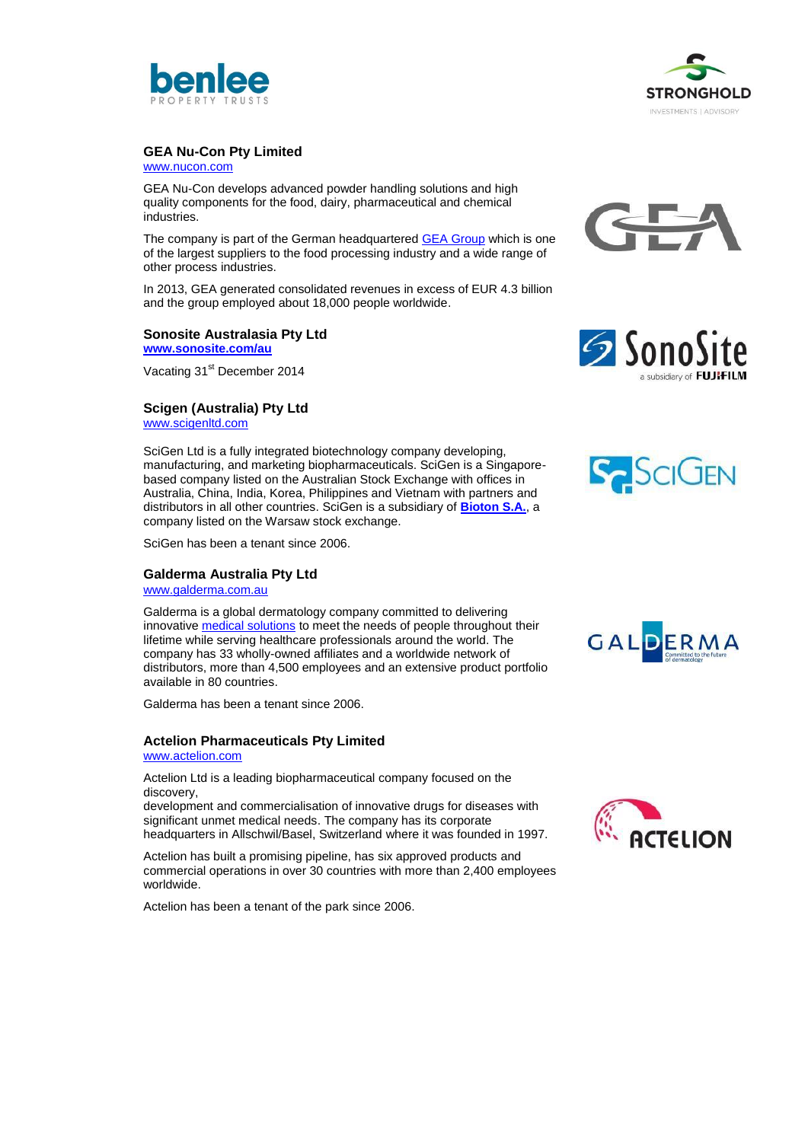



### **GEA Nu-Con Pty Limited**

[www.nucon.com](http://www.nucon.com/)

GEA Nu-Con develops advanced powder handling solutions and high quality components for the food, dairy, pharmaceutical and chemical industries.

The company is part of the German headquartered [GEA Group](http://www.gea.com/) which is one of the largest suppliers to the food processing industry and a wide range of other process industries.

In 2013, GEA generated consolidated revenues in excess of EUR 4.3 billion and the group employed about 18,000 people worldwide.

#### **Sonosite Australasia Pty Ltd [www.sonosite.com/au](http://www.sonosite.com/au)**

Vacating 31<sup>st</sup> December 2014

# **Scigen (Australia) Pty Ltd**

[www.scigenltd.com](http://www.scigenltd.com/)

SciGen Ltd is a fully integrated biotechnology company developing, manufacturing, and marketing biopharmaceuticals. SciGen is a Singaporebased company listed on the Australian Stock Exchange with offices in Australia, China, India, Korea, Philippines and Vietnam with partners and distributors in all other countries. SciGen is a subsidiary of **[Bioton S.A.](http://www.bioton.pl/en)**, a company listed on the Warsaw stock exchange.

SciGen has been a tenant since 2006.

#### **Galderma Australia Pty Ltd**

[www.galderma.com.au](http://www.galderma.com.au/)

Galderma is a global dermatology company committed to delivering innovative medical [solutions](http://www.galderma.com.au/Medical-Solutions) to meet the needs of people throughout their lifetime while serving healthcare professionals around the world. The company has 33 wholly-owned affiliates and a worldwide network of distributors, more than 4,500 employees and an extensive product portfolio available in 80 countries.

Galderma has been a tenant since 2006.

#### **Actelion Pharmaceuticals Pty Limited**

#### [www.actelion.com](http://www.actelion.com/)

Actelion Ltd is a leading biopharmaceutical company focused on the discovery,

development and commercialisation of innovative drugs for diseases with significant unmet medical needs. The company has its corporate headquarters in Allschwil/Basel, Switzerland where it was founded in 1997.

Actelion has built a promising pipeline, has six approved products and commercial operations in over 30 countries with more than 2,400 employees worldwide.

Actelion has been a tenant of the park since 2006.